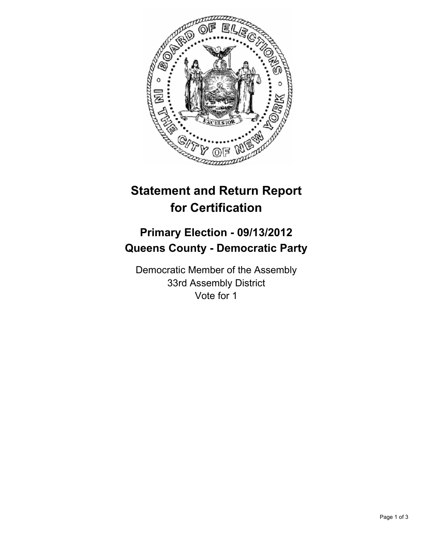

# **Statement and Return Report for Certification**

## **Primary Election - 09/13/2012 Queens County - Democratic Party**

Democratic Member of the Assembly 33rd Assembly District Vote for 1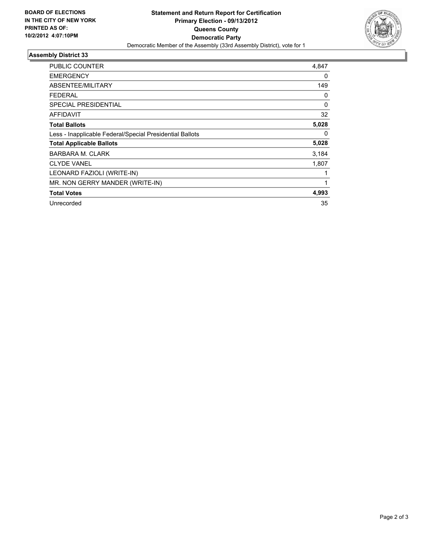

### **Assembly District 33**

| PUBLIC COUNTER                                           | 4,847    |
|----------------------------------------------------------|----------|
| <b>EMERGENCY</b>                                         | 0        |
| <b>ABSENTEE/MILITARY</b>                                 | 149      |
| FEDERAL                                                  | 0        |
| <b>SPECIAL PRESIDENTIAL</b>                              | $\Omega$ |
| AFFIDAVIT                                                | 32       |
| <b>Total Ballots</b>                                     | 5,028    |
| Less - Inapplicable Federal/Special Presidential Ballots | 0        |
| <b>Total Applicable Ballots</b>                          | 5,028    |
| <b>BARBARA M. CLARK</b>                                  | 3,184    |
| <b>CLYDE VANEL</b>                                       | 1,807    |
| LEONARD FAZIOLI (WRITE-IN)                               | 1        |
| MR. NON GERRY MANDER (WRITE-IN)                          | 1        |
| <b>Total Votes</b>                                       | 4,993    |
| Unrecorded                                               | 35       |